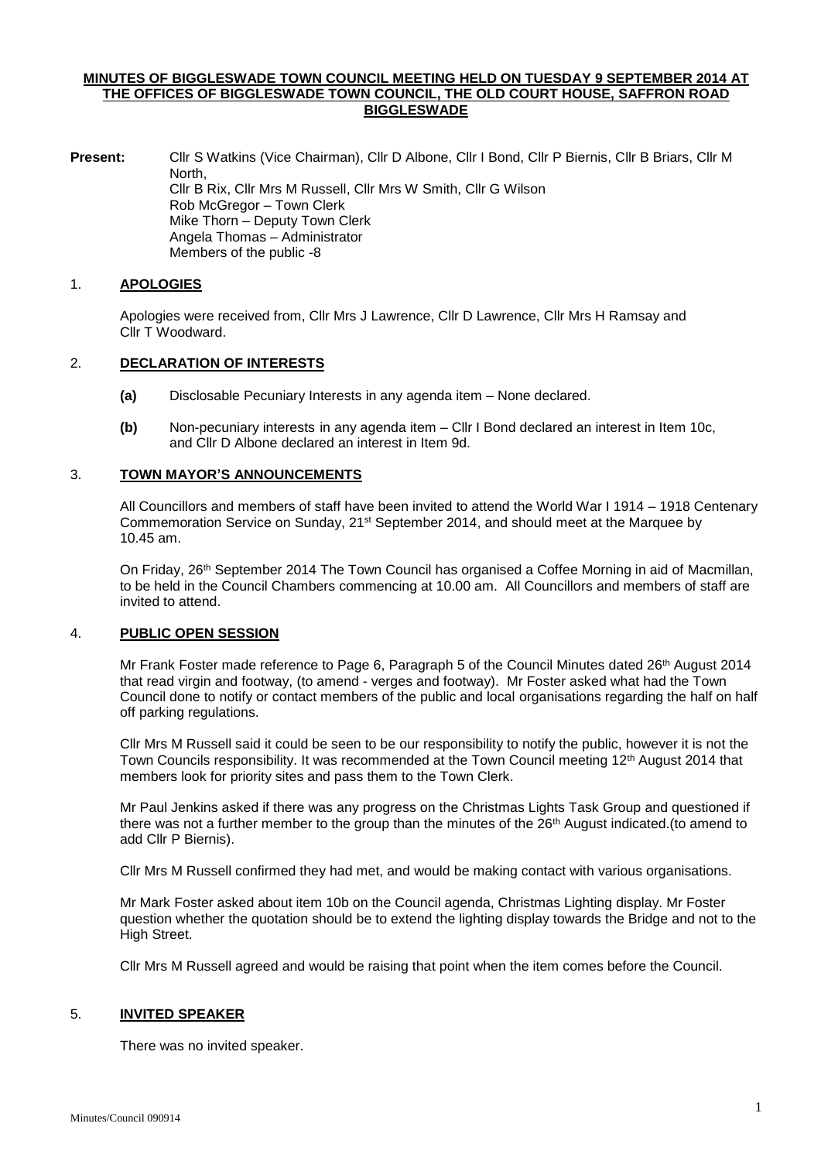### **MINUTES OF BIGGLESWADE TOWN COUNCIL MEETING HELD ON TUESDAY 9 SEPTEMBER 2014 AT THE OFFICES OF BIGGLESWADE TOWN COUNCIL, THE OLD COURT HOUSE, SAFFRON ROAD BIGGLESWADE**

**Present:** Cllr S Watkins (Vice Chairman), Cllr D Albone, Cllr I Bond, Cllr P Biernis, Cllr B Briars, Cllr M North, Cllr B Rix, Cllr Mrs M Russell, Cllr Mrs W Smith, Cllr G Wilson Rob McGregor – Town Clerk Mike Thorn – Deputy Town Clerk Angela Thomas – Administrator Members of the public -8

### 1. **APOLOGIES**

Apologies were received from, Cllr Mrs J Lawrence, Cllr D Lawrence, Cllr Mrs H Ramsay and Cllr T Woodward.

# 2. **DECLARATION OF INTERESTS**

- **(a)** Disclosable Pecuniary Interests in any agenda item None declared.
- **(b)** Non-pecuniary interests in any agenda item Cllr I Bond declared an interest in Item 10c, and Cllr D Albone declared an interest in Item 9d.

# 3. **TOWN MAYOR'S ANNOUNCEMENTS**

All Councillors and members of staff have been invited to attend the World War I 1914 – 1918 Centenary Commemoration Service on Sunday, 21<sup>st</sup> September 2014, and should meet at the Marquee by 10.45 am.

On Friday, 26<sup>th</sup> September 2014 The Town Council has organised a Coffee Morning in aid of Macmillan, to be held in the Council Chambers commencing at 10.00 am. All Councillors and members of staff are invited to attend.

# 4. **PUBLIC OPEN SESSION**

Mr Frank Foster made reference to Page 6, Paragraph 5 of the Council Minutes dated 26th August 2014 that read virgin and footway, (to amend - verges and footway). Mr Foster asked what had the Town Council done to notify or contact members of the public and local organisations regarding the half on half off parking regulations.

Cllr Mrs M Russell said it could be seen to be our responsibility to notify the public, however it is not the Town Councils responsibility. It was recommended at the Town Council meeting 12<sup>th</sup> August 2014 that members look for priority sites and pass them to the Town Clerk.

Mr Paul Jenkins asked if there was any progress on the Christmas Lights Task Group and questioned if there was not a further member to the group than the minutes of the 26th August indicated.(to amend to add Cllr P Biernis).

Cllr Mrs M Russell confirmed they had met, and would be making contact with various organisations.

Mr Mark Foster asked about item 10b on the Council agenda, Christmas Lighting display. Mr Foster question whether the quotation should be to extend the lighting display towards the Bridge and not to the High Street.

Cllr Mrs M Russell agreed and would be raising that point when the item comes before the Council.

### 5. **INVITED SPEAKER**

There was no invited speaker.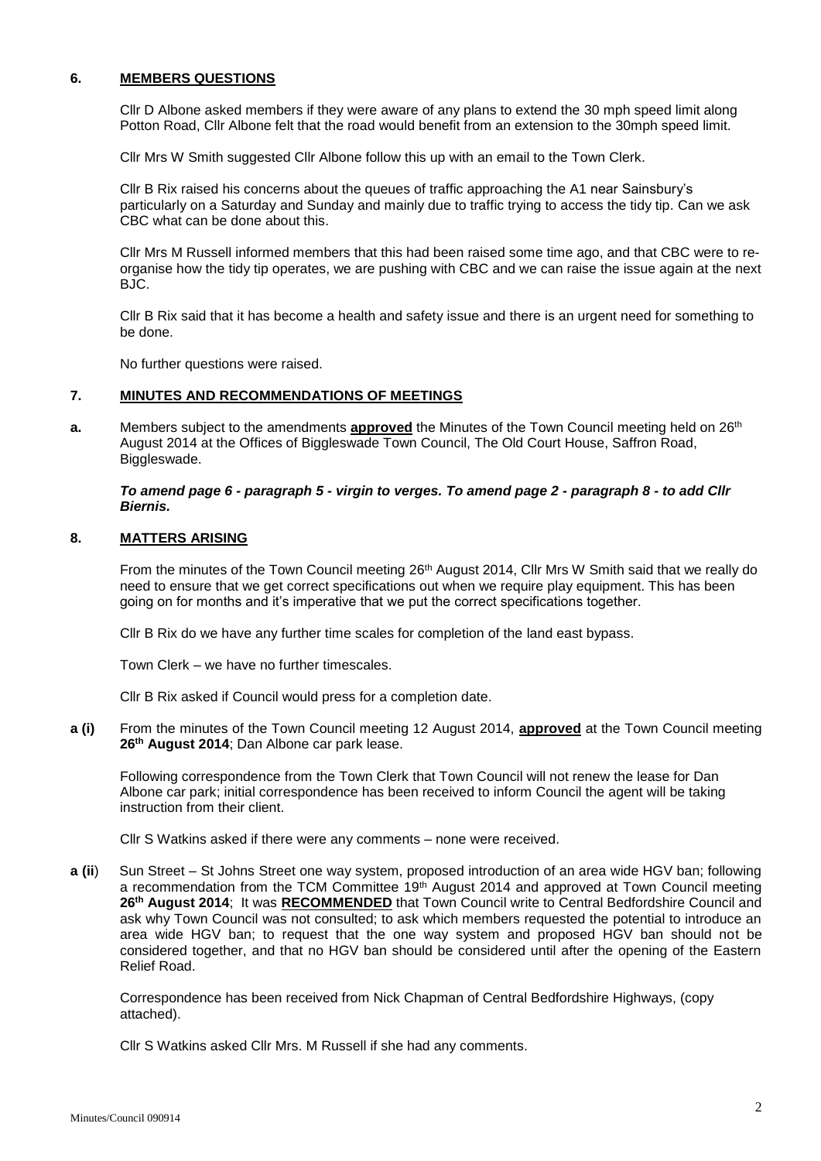# **6. MEMBERS QUESTIONS**

Cllr D Albone asked members if they were aware of any plans to extend the 30 mph speed limit along Potton Road, Cllr Albone felt that the road would benefit from an extension to the 30mph speed limit.

Cllr Mrs W Smith suggested Cllr Albone follow this up with an email to the Town Clerk.

Cllr B Rix raised his concerns about the queues of traffic approaching the A1 near Sainsbury's particularly on a Saturday and Sunday and mainly due to traffic trying to access the tidy tip. Can we ask CBC what can be done about this.

Cllr Mrs M Russell informed members that this had been raised some time ago, and that CBC were to reorganise how the tidy tip operates, we are pushing with CBC and we can raise the issue again at the next BJC.

Cllr B Rix said that it has become a health and safety issue and there is an urgent need for something to be done.

No further questions were raised.

#### **7. MINUTES AND RECOMMENDATIONS OF MEETINGS**

**a.** Members subject to the amendments **approved** the Minutes of the Town Council meeting held on 26<sup>th</sup> August 2014 at the Offices of Biggleswade Town Council, The Old Court House, Saffron Road, Biggleswade.

#### *To amend page 6 - paragraph 5 - virgin to verges. To amend page 2 - paragraph 8 - to add Cllr Biernis.*

#### **8. MATTERS ARISING**

From the minutes of the Town Council meeting 26<sup>th</sup> August 2014, Cllr Mrs W Smith said that we really do need to ensure that we get correct specifications out when we require play equipment. This has been going on for months and it's imperative that we put the correct specifications together.

Cllr B Rix do we have any further time scales for completion of the land east bypass.

Town Clerk – we have no further timescales.

Cllr B Rix asked if Council would press for a completion date.

**a (i)** From the minutes of the Town Council meeting 12 August 2014, **approved** at the Town Council meeting **26th August 2014**; Dan Albone car park lease.

Following correspondence from the Town Clerk that Town Council will not renew the lease for Dan Albone car park; initial correspondence has been received to inform Council the agent will be taking instruction from their client.

Cllr S Watkins asked if there were any comments – none were received.

**a (ii**) Sun Street – St Johns Street one way system, proposed introduction of an area wide HGV ban; following a recommendation from the TCM Committee 19<sup>th</sup> August 2014 and approved at Town Council meeting **26th August 2014**; It was **RECOMMENDED** that Town Council write to Central Bedfordshire Council and ask why Town Council was not consulted; to ask which members requested the potential to introduce an area wide HGV ban; to request that the one way system and proposed HGV ban should not be considered together, and that no HGV ban should be considered until after the opening of the Eastern Relief Road.

Correspondence has been received from Nick Chapman of Central Bedfordshire Highways, (copy attached).

Cllr S Watkins asked Cllr Mrs. M Russell if she had any comments.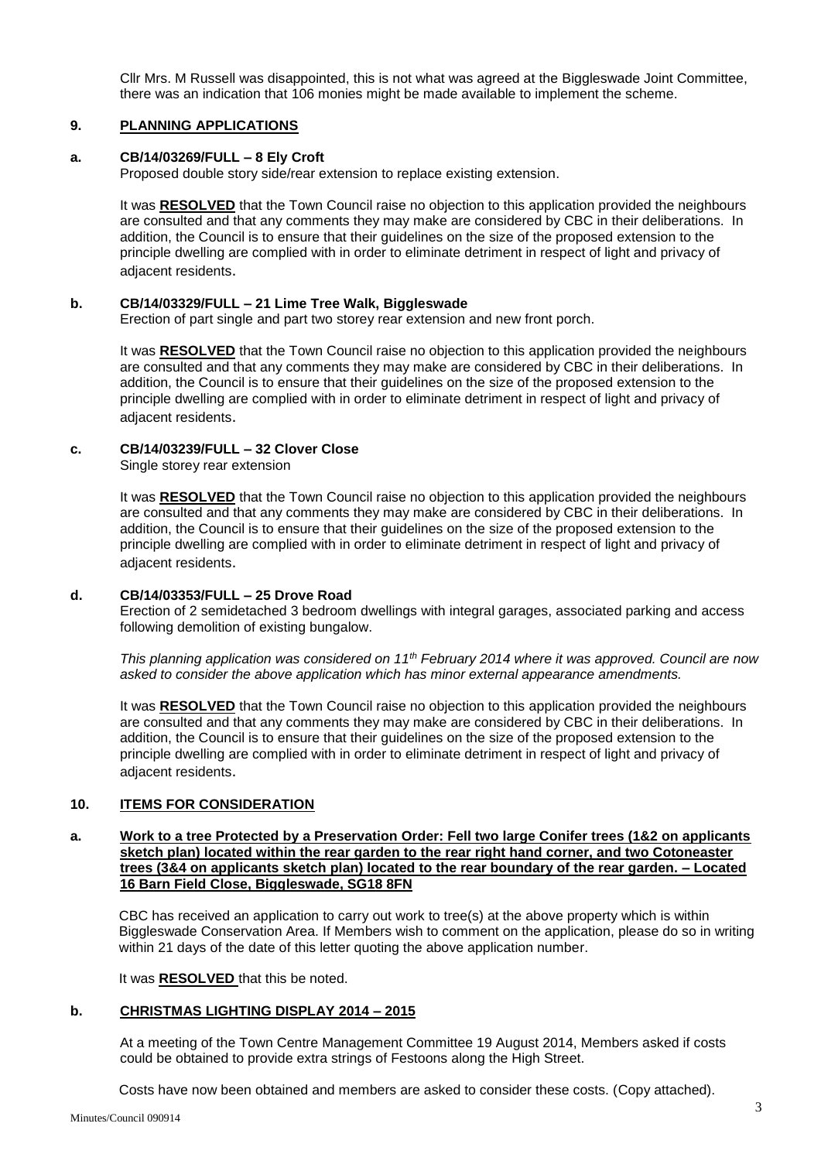Cllr Mrs. M Russell was disappointed, this is not what was agreed at the Biggleswade Joint Committee, there was an indication that 106 monies might be made available to implement the scheme.

## **9. PLANNING APPLICATIONS**

# **a. CB/14/03269/FULL – 8 Ely Croft**

Proposed double story side/rear extension to replace existing extension.

It was **RESOLVED** that the Town Council raise no objection to this application provided the neighbours are consulted and that any comments they may make are considered by CBC in their deliberations. In addition, the Council is to ensure that their guidelines on the size of the proposed extension to the principle dwelling are complied with in order to eliminate detriment in respect of light and privacy of adjacent residents.

# **b. CB/14/03329/FULL – 21 Lime Tree Walk, Biggleswade**

Erection of part single and part two storey rear extension and new front porch.

It was **RESOLVED** that the Town Council raise no objection to this application provided the neighbours are consulted and that any comments they may make are considered by CBC in their deliberations. In addition, the Council is to ensure that their guidelines on the size of the proposed extension to the principle dwelling are complied with in order to eliminate detriment in respect of light and privacy of adiacent residents.

# **c. CB/14/03239/FULL – 32 Clover Close**

Single storey rear extension

It was **RESOLVED** that the Town Council raise no objection to this application provided the neighbours are consulted and that any comments they may make are considered by CBC in their deliberations. In addition, the Council is to ensure that their guidelines on the size of the proposed extension to the principle dwelling are complied with in order to eliminate detriment in respect of light and privacy of adjacent residents.

# **d. CB/14/03353/FULL – 25 Drove Road**

Erection of 2 semidetached 3 bedroom dwellings with integral garages, associated parking and access following demolition of existing bungalow.

*This planning application was considered on 11th February 2014 where it was approved. Council are now asked to consider the above application which has minor external appearance amendments.*

It was **RESOLVED** that the Town Council raise no objection to this application provided the neighbours are consulted and that any comments they may make are considered by CBC in their deliberations. In addition, the Council is to ensure that their guidelines on the size of the proposed extension to the principle dwelling are complied with in order to eliminate detriment in respect of light and privacy of adjacent residents.

### **10. ITEMS FOR CONSIDERATION**

### **a. Work to a tree Protected by a Preservation Order: Fell two large Conifer trees (1&2 on applicants sketch plan) located within the rear garden to the rear right hand corner, and two Cotoneaster trees (3&4 on applicants sketch plan) located to the rear boundary of the rear garden. – Located 16 Barn Field Close, Biggleswade, SG18 8FN**

CBC has received an application to carry out work to tree(s) at the above property which is within Biggleswade Conservation Area. If Members wish to comment on the application, please do so in writing within 21 days of the date of this letter quoting the above application number.

It was **RESOLVED** that this be noted.

### **b. CHRISTMAS LIGHTING DISPLAY 2014 – 2015**

At a meeting of the Town Centre Management Committee 19 August 2014, Members asked if costs could be obtained to provide extra strings of Festoons along the High Street.

Costs have now been obtained and members are asked to consider these costs. (Copy attached).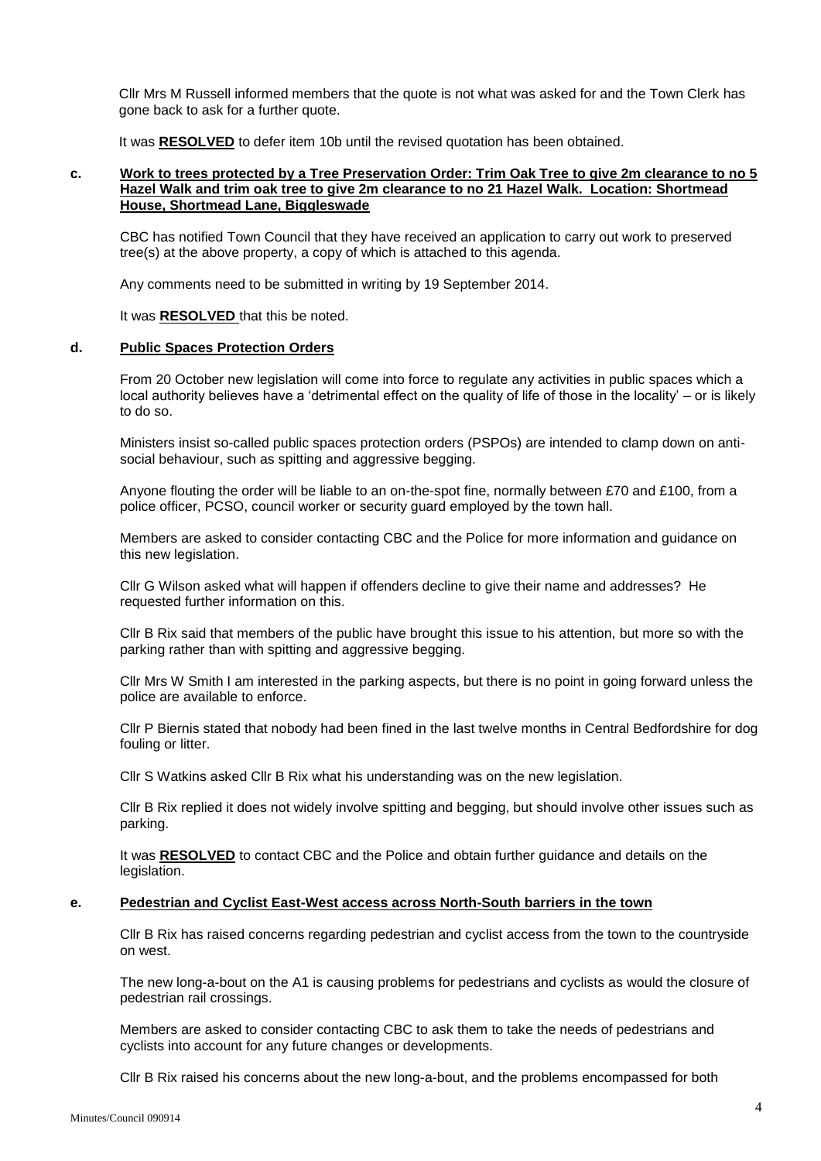Cllr Mrs M Russell informed members that the quote is not what was asked for and the Town Clerk has gone back to ask for a further quote.

It was **RESOLVED** to defer item 10b until the revised quotation has been obtained.

### **c. Work to trees protected by a Tree Preservation Order: Trim Oak Tree to give 2m clearance to no 5 Hazel Walk and trim oak tree to give 2m clearance to no 21 Hazel Walk. Location: Shortmead House, Shortmead Lane, Biggleswade**

CBC has notified Town Council that they have received an application to carry out work to preserved tree(s) at the above property, a copy of which is attached to this agenda.

Any comments need to be submitted in writing by 19 September 2014.

It was **RESOLVED** that this be noted.

### **d. Public Spaces Protection Orders**

From 20 October new legislation will come into force to regulate any activities in public spaces which a local authority believes have a 'detrimental effect on the quality of life of those in the locality' – or is likely to do so.

Ministers insist so-called public spaces protection orders (PSPOs) are intended to clamp down on antisocial behaviour, such as spitting and aggressive begging.

Anyone flouting the order will be liable to an on-the-spot fine, normally between £70 and £100, from a police officer, PCSO, council worker or security guard employed by the town hall.

Members are asked to consider contacting CBC and the Police for more information and guidance on this new legislation.

Cllr G Wilson asked what will happen if offenders decline to give their name and addresses? He requested further information on this.

Cllr B Rix said that members of the public have brought this issue to his attention, but more so with the parking rather than with spitting and aggressive begging.

Cllr Mrs W Smith I am interested in the parking aspects, but there is no point in going forward unless the police are available to enforce.

Cllr P Biernis stated that nobody had been fined in the last twelve months in Central Bedfordshire for dog fouling or litter.

Cllr S Watkins asked Cllr B Rix what his understanding was on the new legislation.

Cllr B Rix replied it does not widely involve spitting and begging, but should involve other issues such as parking.

It was **RESOLVED** to contact CBC and the Police and obtain further guidance and details on the legislation.

#### **e. Pedestrian and Cyclist East-West access across North-South barriers in the town**

Cllr B Rix has raised concerns regarding pedestrian and cyclist access from the town to the countryside on west.

The new long-a-bout on the A1 is causing problems for pedestrians and cyclists as would the closure of pedestrian rail crossings.

Members are asked to consider contacting CBC to ask them to take the needs of pedestrians and cyclists into account for any future changes or developments.

Cllr B Rix raised his concerns about the new long-a-bout, and the problems encompassed for both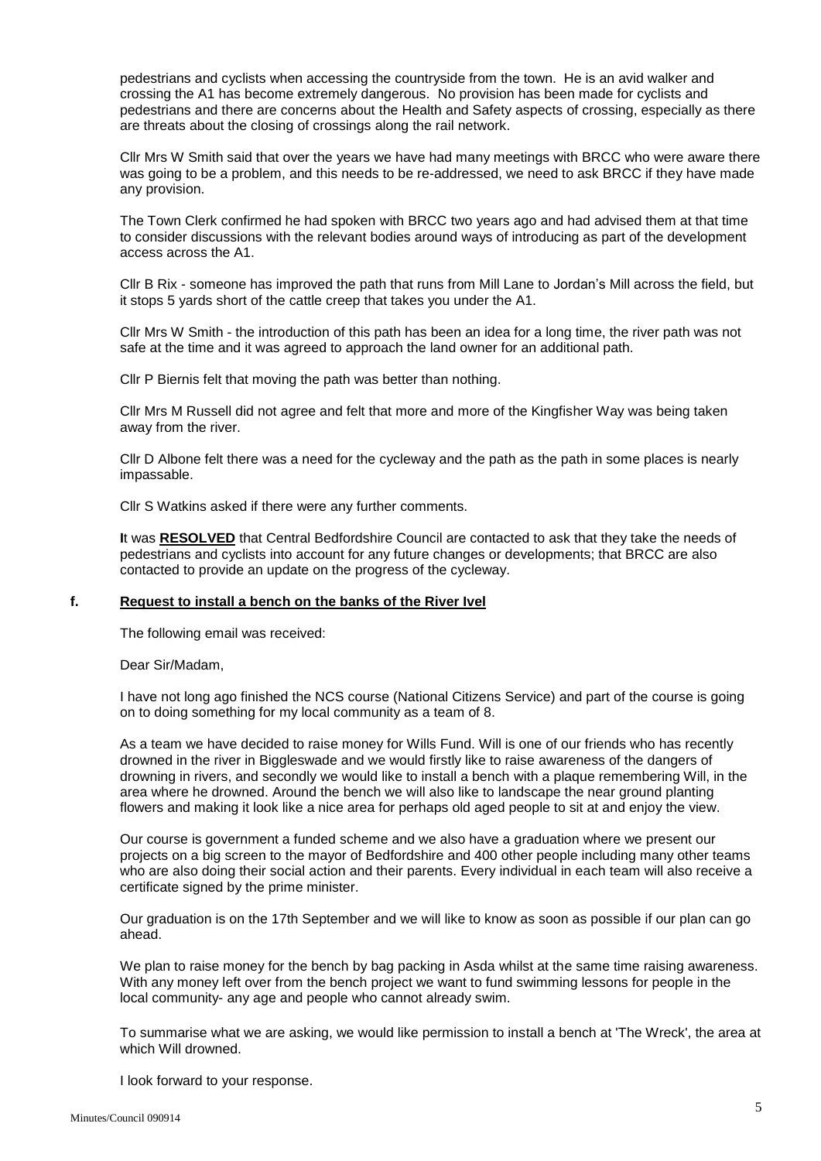pedestrians and cyclists when accessing the countryside from the town. He is an avid walker and crossing the A1 has become extremely dangerous. No provision has been made for cyclists and pedestrians and there are concerns about the Health and Safety aspects of crossing, especially as there are threats about the closing of crossings along the rail network.

Cllr Mrs W Smith said that over the years we have had many meetings with BRCC who were aware there was going to be a problem, and this needs to be re-addressed, we need to ask BRCC if they have made any provision.

The Town Clerk confirmed he had spoken with BRCC two years ago and had advised them at that time to consider discussions with the relevant bodies around ways of introducing as part of the development access across the A1.

Cllr B Rix - someone has improved the path that runs from Mill Lane to Jordan's Mill across the field, but it stops 5 yards short of the cattle creep that takes you under the A1.

Cllr Mrs W Smith - the introduction of this path has been an idea for a long time, the river path was not safe at the time and it was agreed to approach the land owner for an additional path.

Cllr P Biernis felt that moving the path was better than nothing.

Cllr Mrs M Russell did not agree and felt that more and more of the Kingfisher Way was being taken away from the river.

Cllr D Albone felt there was a need for the cycleway and the path as the path in some places is nearly impassable.

Cllr S Watkins asked if there were any further comments.

**I**t was **RESOLVED** that Central Bedfordshire Council are contacted to ask that they take the needs of pedestrians and cyclists into account for any future changes or developments; that BRCC are also contacted to provide an update on the progress of the cycleway.

# **f. Request to install a bench on the banks of the River Ivel**

The following email was received:

Dear Sir/Madam,

I have not long ago finished the NCS course (National Citizens Service) and part of the course is going on to doing something for my local community as a team of 8.

As a team we have decided to raise money for Wills Fund. Will is one of our friends who has recently drowned in the river in Biggleswade and we would firstly like to raise awareness of the dangers of drowning in rivers, and secondly we would like to install a bench with a plaque remembering Will, in the area where he drowned. Around the bench we will also like to landscape the near ground planting flowers and making it look like a nice area for perhaps old aged people to sit at and enjoy the view.

Our course is government a funded scheme and we also have a graduation where we present our projects on a big screen to the mayor of Bedfordshire and 400 other people including many other teams who are also doing their social action and their parents. Every individual in each team will also receive a certificate signed by the prime minister.

Our graduation is on the 17th September and we will like to know as soon as possible if our plan can go ahead.

We plan to raise money for the bench by bag packing in Asda whilst at the same time raising awareness. With any money left over from the bench project we want to fund swimming lessons for people in the local community- any age and people who cannot already swim.

To summarise what we are asking, we would like permission to install a bench at 'The Wreck', the area at which Will drowned.

I look forward to your response.